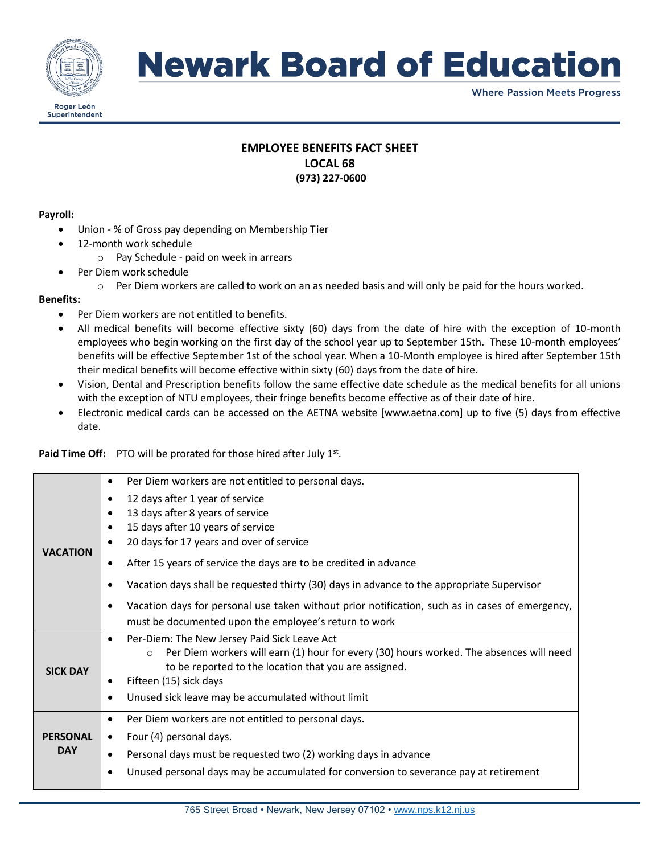

## **Newark Board of Education**

**Where Passion Meets Progress** 

## **EMPLOYEE BENEFITS FACT SHEET LOCAL 68 (973) 227-0600**

#### **Payroll:**

- Union % of Gross pay depending on Membership Tier
- 12-month work schedule
	- o Pay Schedule paid on week in arrears
- Per Diem work schedule
	- $\circ$  Per Diem workers are called to work on an as needed basis and will only be paid for the hours worked.

#### **Benefits:**

- Per Diem workers are not entitled to benefits.
- All medical benefits will become effective sixty (60) days from the date of hire with the exception of 10-month employees who begin working on the first day of the school year up to September 15th. These 10-month employees' benefits will be effective September 1st of the school year. When a 10-Month employee is hired after September 15th their medical benefits will become effective within sixty (60) days from the date of hire.
- Vision, Dental and Prescription benefits follow the same effective date schedule as the medical benefits for all unions with the exception of NTU employees, their fringe benefits become effective as of their date of hire.
- Electronic medical cards can be accessed on the AETNA website [www.aetna.com] up to five (5) days from effective date.

Paid Time Off: PTO will be prorated for those hired after July 1st.

| <b>VACATION</b>               | Per Diem workers are not entitled to personal days.<br>$\bullet$                                     |
|-------------------------------|------------------------------------------------------------------------------------------------------|
|                               | 12 days after 1 year of service<br>٠                                                                 |
|                               | 13 days after 8 years of service                                                                     |
|                               | 15 days after 10 years of service                                                                    |
|                               | 20 days for 17 years and over of service<br>٠                                                        |
|                               | After 15 years of service the days are to be credited in advance<br>$\bullet$                        |
|                               | Vacation days shall be requested thirty (30) days in advance to the appropriate Supervisor           |
|                               | Vacation days for personal use taken without prior notification, such as in cases of emergency,<br>٠ |
|                               | must be documented upon the employee's return to work                                                |
| <b>SICK DAY</b>               | Per-Diem: The New Jersey Paid Sick Leave Act<br>$\bullet$                                            |
|                               | Per Diem workers will earn (1) hour for every (30) hours worked. The absences will need<br>$\circ$   |
|                               | to be reported to the location that you are assigned.                                                |
|                               | Fifteen (15) sick days<br>٠                                                                          |
|                               | Unused sick leave may be accumulated without limit                                                   |
| <b>PERSONAL</b><br><b>DAY</b> | Per Diem workers are not entitled to personal days.<br>$\bullet$                                     |
|                               | Four (4) personal days.<br>$\bullet$                                                                 |
|                               | Personal days must be requested two (2) working days in advance                                      |
|                               | Unused personal days may be accumulated for conversion to severance pay at retirement                |